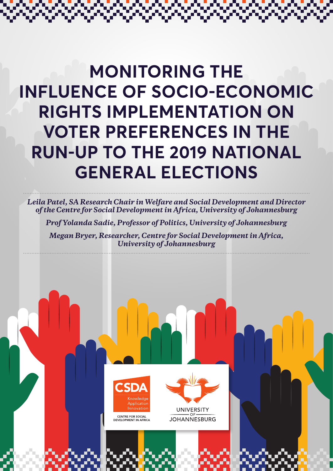# **MONITORING THE INFLUENCE OF SOCIO-ECONOMIC RIGHTS IMPLEMENTATION ON VOTER PREFERENCES IN THE RUN-UP TO THE 2019 NATIONAL GENERAL ELECTIONS**

*Leila Patel, SA Research Chair in Welfare and Social Development and Director of the Centre for Social Development in Africa, University of Johannesburg* 

*Prof Yolanda Sadie, Professor of Politics, University of Johannesburg* 

*Megan Bryer, Researcher, Centre for Social Development in Africa, University of Johannesburg*



**UNIVERSITY** CENTRE FOR SOCIAL<br>DEVELOPMENT IN AFRICA **JOHANNESBURG**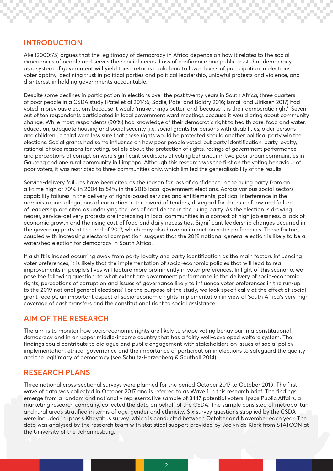## **INTRODUCTION**

Ake (2000:75) argues that the legitimacy of democracy in Africa depends on how it relates to the social experiences of people and serves their social needs. Loss of confidence and public trust that democracy as a system of government will yield these returns could lead to lower levels of participation in elections, voter apathy, declining trust in political parties and political leadership, unlawful protests and violence, and disinterest in holding governments accountable.

Despite some declines in participation in elections over the past twenty years in South Africa, three quarters of poor people in a CSDA study (Patel et al 2014:6; Sadie, Patel and Baldry 2016; Ismail and Ulriksen 2017) had voted in previous elections because it would 'make things better' and 'because it is their democratic right'. Seven out of ten respondents participated in local government ward meetings because it would bring about community change. While most respondents (90%) had knowledge of their democratic right to health care, food and water, education, adequate housing and social security (i.e. social grants for persons with disabilities, older persons and children), a third were less sure that these rights would be protected should another political party win the elections. Social grants had some influence on how poor people voted, but party identification, party loyalty, rational-choice reasons for voting, beliefs about the protection of rights, ratings of government performance and perceptions of corruption were significant predictors of voting behaviour in two poor urban communities in Gauteng and one rural community in Limpopo. Although this research was the first on the voting behaviour of poor voters, it was restricted to three communities only, which limited the generalisability of the results.

Service-delivery failures have been cited as the reason for loss of confidence in the ruling party from an all-time high of 70% in 2004 to 54% in the 2016 local government elections. Across various social sectors, capability failures in the delivery of rights-based services and entitlements, political interference in the administration, allegations of corruption in the award of tenders, disregard for the rule of law and failure of leadership are cited as underlying the loss of confidence in the ruling party. As the election is drawing nearer, service-delivery protests are increasing in local communities in a context of high joblessness, a lack of economic growth and the rising cost of food and daily necessities. Significant leadership changes occurred in the governing party at the end of 2017, which may also have an impact on voter preferences. These factors, coupled with increasing electoral competition, suggest that the 2019 national general election is likely to be a watershed election for democracy in South Africa.

If a shift is indeed occurring away from party loyalty and party identification as the main factors influencing voter preferences, it is likely that the implementation of socio-economic policies that will lead to real improvements in people's lives will feature more prominently in voter preferences. In light of this scenario, we pose the following question: to what extent are government performance in the delivery of socio-economic rights, perceptions of corruption and issues of governance likely to influence voter preferences in the run-up to the 2019 national general elections? For the purpose of the study, we look specifically at the effect of social grant receipt, an important aspect of socio-economic rights implementation in view of South Africa's very high coverage of cash transfers and the constitutional right to social assistance.

## **AIM OF THE RESEARCH**

The aim is to monitor how socio-economic rights are likely to shape voting behaviour in a constitutional democracy and in an upper middle-income country that has a fairly well-developed welfare system. The findings could contribute to dialogue and public engagement with stakeholders on issues of social policy implementation, ethical governance and the importance of participation in elections to safeguard the quality and the legitimacy of democracy (see Schultz-Herzenberg & Southall 2014).

## **RESEARCH PLANS**

Three national cross-sectional surveys were planned for the period October 2017 to October 2019. The first wave of data was collected in October 2017 and is referred to as Wave 1 in this research brief. The findings emerge from a random and nationally representative sample of 3447 potential voters. Ipsos Public Affairs, a marketing research company, collected the data on behalf of the CSDA. The sample consisted of metropolitan and rural areas stratified in terms of age, gender and ethnicity. Six survey questions supplied by the CSDA were included in Ipsos's Khayabus survey, which is conducted between October and November each year. The data was analysed by the research team with statistical support provided by Jaclyn de Klerk from STATCON at the University of the Johannesburg.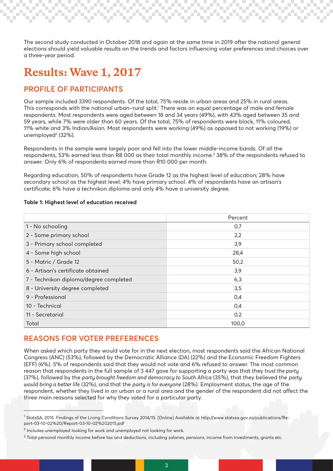The second study conducted in October 2018 and again at the same time in 2019 after the national general elections should yield valuable results on the trends and factors influencing voter preferences and choices over a three-year period.

## **Results: Wave 1, 2017**

## **PROFILE OF PARTICIPANTS**

Our sample included 3390 respondents. Of the total, 75% reside in urban areas and 25% in rural areas. This corresponds with the national urban–rural split.1 There was an equal percentage of male and female respondents. Most respondents were aged between 18 and 34 years (49%), with 43% aged between 35 and 59 years, while 7% were older than 60 years. Of the total, 75% of respondents were black, 11% coloured, 11% white and 3% Indian/Asian. Most respondents were working (49%) as opposed to not working (19%) or unemployed2 (32%).

Respondents in the sample were largely poor and fell into the lower middle-income bands. Of all the respondents, 53% earned less than R8 000 as their total monthly income.3 38% of the respondents refused to answer. Only 6% of respondents earned more than R10 000 per month.

Regarding education, 50% of respondents have Grade 12 as the highest level of education; 28% have secondary school as the highest level; 4% have primary school. 4% of respondents have an artisan's certificate; 6% have a technikon diploma and only 4% have a university degree.

|                                        | Percent |
|----------------------------------------|---------|
| 1 - No schooling                       | 0,7     |
| 2 - Some primary school                | 2,2     |
| 3 - Primary school completed           | 3,9     |
| 4 - Some high school                   | 28,4    |
| 5 - Matric / Grade 12                  | 50,2    |
| 6 - Artisan's certificate obtained     | 3,9     |
| 7 - Technikon diploma/degree completed | 6,3     |
| 8 - University degree completed        | 3,5     |
| 9 - Professional                       | 0,4     |
| 10 - Technical                         | 0,4     |
| 11 - Secretarial                       | 0,2     |
| Total                                  | 100,0   |

#### **Table 1: Highest level of education received**

## **REASONS FOR VOTER PREFERENCES**

When asked which party they would vote for in the next election, most respondents said the African National Congress (ANC) (53%), followed by the Democratic Alliance (DA) (22%) and the Economic Freedom Fighters (EFF) (6%). 5% of respondents said that they would not vote and 6% refused to answer. The most common reason that respondents in the full sample of 3 447 gave for supporting a party was that they *trust the party* (37%), followed by the *party brought freedom and democracy to South Africa* (35%), that they believed the *party would bring a better life* (32%), and that the *party is for everyone* (28%). Employment status, the age of the respondent, whether they lived in an urban or a rural area and the gender of the respondent did not affect the three main reasons selected for why they voted for a particular party.

3

<sup>1</sup> StatsSA, 2015. Findings of the Living Conditions Survey 2014/15. [Online] Available at http://www.statssa.gov.za/publications/Report-03-10-02%20/Report-03-10-02%202015.pdf

 $^{\rm 2}$  Includes unemployed looking for work and unemployed not looking for work.

 $^3$  Total personal monthly income before tax and deductions, including salaries, pensions, income from investments, grants etc.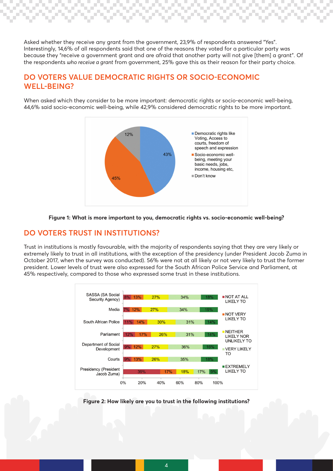Asked whether they receive any grant from the government, 23,9% of respondents answered "Yes". Interestingly, 14,6% of all respondents said that one of the reasons they voted for a particular party was because they "receive a government grant and are afraid that another party will not give [them] a grant". Of the respondents *who receive a grant* from government, 25% gave this as their reason for their party choice.

## **DO VOTERS VALUE DEMOCRATIC RIGHTS OR SOCIO-ECONOMIC WELL-BEING?**

When asked which they consider to be more important: democratic rights or socio-economic well-being, 44,6% said socio-economic well-being, while 42,9% considered democratic rights to be more important.





## **DO VOTERS TRUST IN INSTITUTIONS?**

Trust in institutions is mostly favourable, with the majority of respondents saying that they are very likely or extremely likely to trust in all institutions, with the exception of the presidency (under President Jacob Zuma in October 2017, when the survey was conducted). 56% were not at all likely or not very likely to trust the former president. Lower levels of trust were also expressed for the South African Police Service and Parliament, at 45% respectively, compared to those who expressed some trust in these institutions.



**Figure 2: How likely are you to trust in the following institutions?**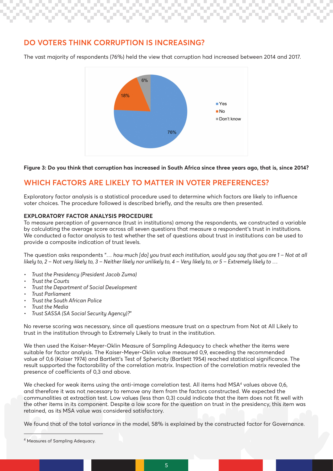## **DO VOTERS THINK CORRUPTION IS INCREASING?**

The vast majority of respondents (76%) held the view that corruption had increased between 2014 and 2017.



#### **Figure 3: Do you think that corruption has increased in South Africa since three years ago, that is, since 2014?**

## **WHICH FACTORS ARE LIKELY TO MATTER IN VOTER PREFERENCES?**

Exploratory factor analysis is a statistical procedure used to determine which factors are likely to influence voter choices. The procedure followed is described briefly, and the results are then presented.

#### **EXPLORATORY FACTOR ANALYSIS PROCEDURE**

To measure perception of governance (trust in institutions) among the respondents, we constructed a variable by calculating the average score across all seven questions that measure a respondent's trust in institutions. We conducted a factor analysis to test whether the set of questions about trust in institutions can be used to provide a composite indication of trust levels.

The question asks respondents "*… how much [do] you trust each institution, would you say that you are 1 – Not at all likely to, 2 – Not very likely to, 3 – Neither likely nor unlikely to, 4 – Very likely to, or 5 – Extremely likely to …*

- *• Trust the Presidency (President Jacob Zuma)*
- *• Trust the Courts*
- *• Trust the Department of Social Development*
- *• Trust Parliament*
- *• Trust the South African Police*
- *• Trust the Media*
- *• Trust SASSA (SA Social Security Agency)?*"

No reverse scoring was necessary, since all questions measure trust on a spectrum from Not at All Likely to trust in the institution through to Extremely Likely to trust in the institution.

We then used the Kaiser-Meyer-Oklin Measure of Sampling Adequacy to check whether the items were suitable for factor analysis. The Kaiser-Meyer-Oklin value measured 0,9, exceeding the recommended value of 0,6 (Kaiser 1974) and Bartlett's Test of Sphericity (Bartlett 1954) reached statistical significance. The result supported the factorability of the correlation matrix. Inspection of the correlation matrix revealed the presence of coefficients of 0,3 and above.

We checked for weak items using the anti-image correlation test. All items had MSA4 values above 0,6, and therefore it was not necessary to remove any item from the factors constructed. We expected the communalities at extraction test. Low values (less than 0,3) could indicate that the item does not fit well with the other items in its component. Despite a low score for the question on trust in the presidency, this item was retained, as its MSA value was considered satisfactory.

We found that of the total variance in the model, 58% is explained by the constructed factor for Governance.

<sup>4</sup> Measures of Sampling Adequacy.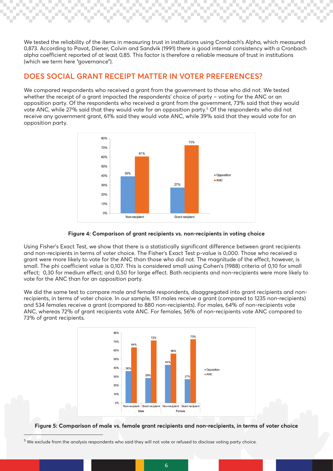We tested the reliability of the items in measuring trust in institutions using Cronbach's Alpha, which measured 0,873. According to Pavot, Diener, Colvin and Sandvik (1991) there is good internal consistency with a Cronbach alpha coefficient reported of at least 0,85. This factor is therefore a reliable measure of trust in institutions (which we term here "governance").

## **DOES SOCIAL GRANT RECEIPT MATTER IN VOTER PREFERENCES?**

We compared respondents who received a grant from the government to those who did not. We tested whether the receipt of a grant impacted the respondents' choice of party – voting for the ANC or an opposition party. Of the respondents who received a grant from the government, 73% said that they would vote ANC, while 27% said that they would vote for an opposition party.5 Of the respondents who did not receive any government grant, 61% said they would vote ANC, while 39% said that they would vote for an opposition party.



#### **Figure 4: Comparison of grant recipients vs. non-recipients in voting choice**

Using Fisher's Exact Test, we show that there is a statistically significant difference between grant recipients and non-recipients in terms of voter choice. The Fisher's Exact Test p-value is 0,000. Those who received a grant were more likely to vote for the ANC than those who did not. The magnitude of the effect, however, is small. The phi coefficient value is 0,107. This is considered small using Cohen's (1988) criteria of 0,10 for small effect; 0,30 for medium effect; and 0,50 for large effect. Both recipients and non-recipients were more likely to vote for the ANC than for an opposition party.

We did the same test to compare male and female respondents, disaggregated into grant recipients and nonrecipients, in terms of voter choice. In our sample, 151 males receive a grant (compared to 1235 non-recipients) and 534 females receive a grant (compared to 880 non-recipients). For males, 64% of non-recipients vote ANC, whereas 72% of grant recipients vote ANC. For females, 56% of non-recipients vote ANC compared to 73% of grant recipients.



**Figure 5: Comparison of male vs. female grant recipients and non-recipients, in terms of voter choice**

 $^5$  We exclude from the analysis respondents who said they will not vote or refused to disclose voting party choice.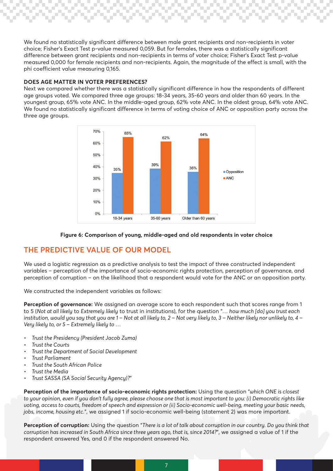We found no statistically significant difference between male grant recipients and non-recipients in voter choice; Fisher's Exact Test p-value measured 0,059. But for females, there was a statistically significant difference between grant recipients and non-recipients in terms of voter choice; Fisher's Exact Test p-value measured 0,000 for female recipients and non-recipients. Again, the magnitude of the effect is small, with the phi coefficient value measuring 0,165.

#### **DOES AGE MATTER IN VOTER PREFERENCES?**

Next we compared whether there was a statistically significant difference in how the respondents of different age groups voted. We compared three age groups: 18-34 years, 35-60 years and older than 60 years. In the youngest group, 65% vote ANC. In the middle-aged group, 62% vote ANC. In the oldest group, 64% vote ANC. We found no statistically significant difference in terms of voting choice of ANC or opposition party across the three age groups.



#### **Figure 6: Comparison of young, middle-aged and old respondents in voter choice**

## **THE PREDICTIVE VALUE OF OUR MODEL**

We used a logistic regression as a predictive analysis to test the impact of three constructed independent variables – perception of the importance of socio-economic rights protection, perception of governance, and perception of corruption – on the likelihood that a respondent would vote for the ANC or an opposition party.

We constructed the independent variables as follows:

**Perception of governance:** We assigned an average score to each respondent such that scores range from 1 to 5 (*Not at all likely* to *Extremely likely* to trust in institutions), for the question "*… how much [do] you trust each institution, would you say that you are 1 – Not at all likely to, 2 – Not very likely to, 3 – Neither likely nor unlikely to, 4 – Very likely to, or 5 – Extremely likely to …* 

- *• Trust the Presidency (President Jacob Zuma)*
- *• Trust the Courts*
- *• Trust the Department of Social Development*
- *• Trust Parliament*
- *• Trust the South African Police*
- *• Trust the Media*
- *• Trust SASSA (SA Social Security Agency)?*"

**Perception of the importance of socio-economic rights protection:** Using the question "*which ONE is closest to your opinion, even if you don't fully agree, please choose one that is most important to you: (i) Democratic rights like voting, access to courts, freedom of speech and expression or (ii) Socio-economic well-being, meeting your basic needs, jobs, income, housing etc.*", we assigned 1 if socio-economic well-being (statement 2) was more important.

**Perception of corruption:** Using the question "*There is a lot of talk about corruption in our country. Do you think that corruption has increased in South Africa since three years ago, that is, since 2014?*", we assigned a value of 1 if the respondent answered Yes, and 0 if the respondent answered No.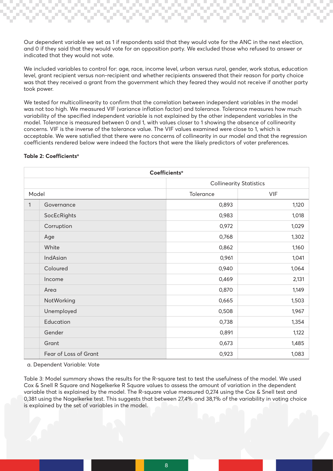Our dependent variable we set as 1 if respondents said that they would vote for the ANC in the next election, and 0 if they said that they would vote for an opposition party. We excluded those who refused to answer or indicated that they would not vote.

We included variables to control for: age, race, income level, urban versus rural, gender, work status, education level, grant recipient versus non-recipient and whether recipients answered that their reason for party choice was that they received a grant from the government which they feared they would not receive if another party took power.

We tested for multicollinearity to confirm that the correlation between independent variables in the model was not too high. We measured VIF (variance inflation factor) and tolerance. Tolerance measures how much variability of the specified independent variable is not explained by the other independent variables in the model. Tolerance is measured between 0 and 1, with values closer to 1 showing the absence of collinearity concerns. VIF is the inverse of the tolerance value. The VIF values examined were close to 1, which is acceptable. We were satisfied that there were no concerns of collinearity in our model and that the regression coefficients rendered below were indeed the factors that were the likely predictors of voter preferences.

| Coefficients <sup>a</sup> |                                |           |            |  |  |  |
|---------------------------|--------------------------------|-----------|------------|--|--|--|
|                           | <b>Collinearity Statistics</b> |           |            |  |  |  |
| Model                     |                                | Tolerance | <b>VIF</b> |  |  |  |
| 1                         | Governance                     | 0,893     | 1,120      |  |  |  |
|                           | SocEcRights                    | 0,983     | 1,018      |  |  |  |
|                           | Corruption                     | 0,972     | 1,029      |  |  |  |
|                           | Age                            | 0,768     | 1,302      |  |  |  |
|                           | White                          | 0,862     | 1,160      |  |  |  |
|                           | <b>IndAsian</b>                | 0,961     | 1,041      |  |  |  |
|                           | Coloured                       | 0,940     | 1,064      |  |  |  |
|                           | Income                         | 0,469     | 2,131      |  |  |  |
|                           | Area                           | 0,870     | 1,149      |  |  |  |
|                           | NotWorking                     | 0,665     | 1,503      |  |  |  |
|                           | Unemployed                     | 0,508     | 1,967      |  |  |  |
|                           | Education                      | 0,738     | 1,354      |  |  |  |
|                           | Gender                         | 0,891     | 1,122      |  |  |  |
|                           | Grant                          | 0,673     | 1,485      |  |  |  |
|                           | Fear of Loss of Grant          | 0,923     | 1,083      |  |  |  |

#### Table 2: Coefficients<sup>a</sup>

a. Dependent Variable: Vote

Table 3: Model summary shows the results for the R-square test to test the usefulness of the model. We used Cox & Snell R Square and Nagelkerke R Square values to assess the amount of variation in the dependent variable that is explained by the model. The R-square value measured 0,274 using the Cox & Snell test and 0,381 using the Nagelkerke test. This suggests that between 27,4% and 38,1% of the variability in voting choice is explained by the set of variables in the model.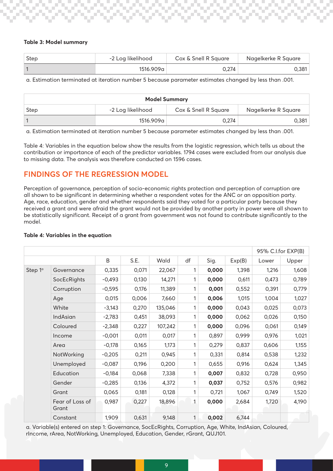#### **Table 3: Model summary**

| Step | -2 Log likelihood | Cox & Snell R Square | Nagelkerke R Square |  |
|------|-------------------|----------------------|---------------------|--|
|      | 1516.909a ⊦       | 0.274                | 0.381               |  |

a. Estimation terminated at iteration number 5 because parameter estimates changed by less than .001.

| <b>Model Summary</b> |                   |                      |                     |  |  |  |
|----------------------|-------------------|----------------------|---------------------|--|--|--|
| Step                 | -2 Log likelihood | Cox & Snell R Square | Nagelkerke R Square |  |  |  |
|                      | 1516.909a         | 0.274                | 0.381               |  |  |  |

a. Estimation terminated at iteration number 5 because parameter estimates changed by less than .001.

Table 4: Variables in the equation below show the results from the logistic regression, which tells us about the contribution or importance of each of the predictor variables. 1794 cases were excluded from our analysis due to missing data. The analysis was therefore conducted on 1596 cases.

## **FINDINGS OF THE REGRESSION MODEL**

Perception of governance, perception of socio-economic rights protection and perception of corruption are all shown to be significant in determining whether a respondent votes for the ANC or an opposition party. Age, race, education, gender and whether respondents said they voted for a particular party because they received a grant and were afraid the grant would not be provided by another party in power were all shown to be statistically significant. Receipt of a grant from government was not found to contribute significantly to the model.

|                     |                          |          |       | 95% C.I.for EXP(B) |              |       |        |       |       |
|---------------------|--------------------------|----------|-------|--------------------|--------------|-------|--------|-------|-------|
|                     |                          | B        | S.E.  | Wald               | df           | Sig.  | Exp(B) | Lower | Upper |
| Step 1 <sup>a</sup> | Governance               | 0,335    | 0,071 | 22,067             | 1            | 0,000 | 1,398  | 1,216 | 1,608 |
|                     | SocEcRights              | $-0,493$ | 0,130 | 14,271             | 1            | 0,000 | 0,611  | 0,473 | 0,789 |
|                     | Corruption               | $-0,595$ | 0,176 | 11,389             | 1            | 0,001 | 0,552  | 0,391 | 0,779 |
|                     | Age                      | 0,015    | 0,006 | 7,660              | 1            | 0,006 | 1,015  | 1,004 | 1,027 |
|                     | White                    | $-3,143$ | 0,270 | 135,046            | 1            | 0,000 | 0,043  | 0,025 | 0,073 |
|                     | IndAsian                 | $-2,783$ | 0,451 | 38,093             | 1            | 0,000 | 0,062  | 0,026 | 0,150 |
|                     | Coloured                 | $-2,348$ | 0,227 | 107,242            | 1            | 0,000 | 0,096  | 0,061 | 0,149 |
|                     | Income                   | $-0,001$ | 0,011 | 0,017              | 1            | 0,897 | 0,999  | 0,976 | 1,021 |
|                     | Area                     | $-0,178$ | 0,165 | 1,173              | 1            | 0,279 | 0,837  | 0,606 | 1,155 |
|                     | NotWorking               | $-0,205$ | 0,211 | 0,945              | 1            | 0,331 | 0,814  | 0,538 | 1,232 |
|                     | Unemployed               | $-0,087$ | 0,196 | 0,200              | 1            | 0,655 | 0,916  | 0,624 | 1,345 |
|                     | Education                | $-0,184$ | 0,068 | 7,338              | 1            | 0,007 | 0,832  | 0,728 | 0,950 |
|                     | Gender                   | $-0,285$ | 0,136 | 4,372              | 1            | 0,037 | 0,752  | 0,576 | 0,982 |
|                     | Grant                    | 0,065    | 0,181 | 0,128              | 1            | 0,721 | 1,067  | 0,749 | 1,520 |
|                     | Fear of Loss of<br>Grant | 0,987    | 0,227 | 18,896             | $\mathbf{1}$ | 0,000 | 2,684  | 1,720 | 4,190 |
|                     | Constant                 | 1,909    | 0,631 | 9,148              | 1            | 0,002 | 6,744  |       |       |

#### **Table 4: Variables in the equation**

a. Variable(s) entered on step 1: Governance, SocEcRights, Corruption, Age, White, IndAsian, Coloured, rIncome, rArea, NotWorking, Unemployed, Education, Gender, rGrant, QUJ101.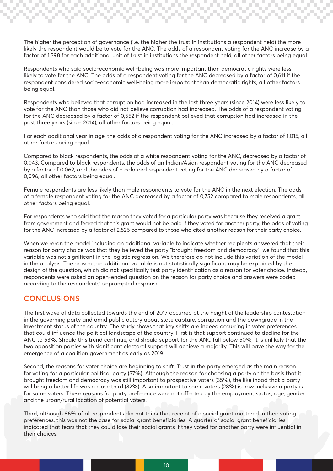The higher the perception of governance (i.e. the higher the trust in institutions a respondent held) the more likely the respondent would be to vote for the ANC. The odds of a respondent voting for the ANC increase by a factor of 1,398 for each additional unit of trust in institutions the respondent held, all other factors being equal.

Respondents who said socio-economic well-being was more important than democratic rights were less likely to vote for the ANC. The odds of a respondent voting for the ANC decreased by a factor of 0,611 if the respondent considered socio-economic well-being more important than democratic rights, all other factors being equal.

Respondents who believed that corruption had increased in the last three years (since 2014) were less likely to vote for the ANC than those who did not believe corruption had increased. The odds of a respondent voting for the ANC decreased by a factor of 0,552 if the respondent believed that corruption had increased in the past three years (since 2014), all other factors being equal.

For each additional year in age, the odds of a respondent voting for the ANC increased by a factor of 1,015, all other factors being equal.

Compared to black respondents, the odds of a white respondent voting for the ANC, decreased by a factor of 0,043. Compared to black respondents, the odds of an Indian/Asian respondent voting for the ANC decreased by a factor of 0,062, and the odds of a coloured respondent voting for the ANC decreased by a factor of 0,096, all other factors being equal.

Female respondents are less likely than male respondents to vote for the ANC in the next election. The odds of a female respondent voting for the ANC decreased by a factor of 0,752 compared to male respondents, all other factors being equal.

For respondents who said that the reason they voted for a particular party was because they received a grant from government and feared that this grant would not be paid if they voted for another party, the odds of voting for the ANC increased by a factor of 2,526 compared to those who cited another reason for their party choice.

When we reran the model including an additional variable to indicate whether recipients answered that their reason for party choice was that they believed the party "brought freedom and democracy", we found that this variable was not significant in the logistic regression. We therefore do not include this variation of the model in the analysis. The reason the additional variable is not statistically significant may be explained by the design of the question, which did not specifically test party identification as a reason for voter choice. Instead, respondents were asked an open-ended question on the reason for party choice and answers were coded according to the respondents' unprompted response.

## **CONCLUSIONS**

The first wave of data collected towards the end of 2017 occurred at the height of the leadership contestation in the governing party and amid public outcry about state capture, corruption and the downgrade in the investment status of the country. The study shows that key shifts are indeed occurring in voter preferences that could influence the political landscape of the country. First is that support continued to decline for the ANC to 53%. Should this trend continue, and should support for the ANC fall below 50%, it is unlikely that the two opposition parties with significant electoral support will achieve a majority. This will pave the way for the emergence of a coalition government as early as 2019.

Second, the reasons for voter choice are beginning to shift. Trust in the party emerged as the main reason for voting for a particular political party (37%). Although the reason for choosing a party on the basis that it brought freedom and democracy was still important to prospective voters (35%), the likelihood that a party will bring a better life was a close third (32%). Also important to some voters (28%) is how inclusive a party is for some voters. These reasons for party preference were not affected by the employment status, age, gender and the urban/rural location of potential voters.

Third, although 86% of all respondents did not think that receipt of a social grant mattered in their voting preferences, this was not the case for social grant beneficiaries. A quarter of social grant beneficiaries indicated that fears that they could lose their social grants if they voted for another party were influential in their choices.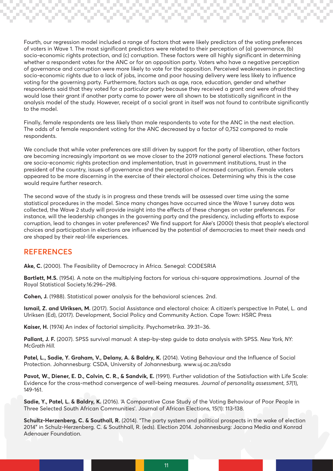Fourth, our regression model included a range of factors that were likely predictors of the voting preferences of voters in Wave 1. The most significant predictors were related to their perception of (a) governance, (b) socio-economic rights protection, and (c) corruption. These factors were all highly significant in determining whether a respondent votes for the ANC or for an opposition party. Voters who have a negative perception of governance and corruption were more likely to vote for the opposition. Perceived weaknesses in protecting socio-economic rights due to a lack of jobs, income and poor housing delivery were less likely to influence voting for the governing party. Furthermore, factors such as age, race, education, gender and whether respondents said that they voted for a particular party because they received a grant and were afraid they would lose their grant if another party came to power were all shown to be statistically significant in the analysis model of the study. However, receipt of a social grant in itself was not found to contribute significantly to the model.

Finally, female respondents are less likely than male respondents to vote for the ANC in the next election. The odds of a female respondent voting for the ANC decreased by a factor of 0,752 compared to male respondents.

We conclude that while voter preferences are still driven by support for the party of liberation, other factors are becoming increasingly important as we move closer to the 2019 national general elections. These factors are socio-economic rights protection and implementation, trust in government institutions, trust in the president of the country, issues of governance and the perception of increased corruption. Female voters appeared to be more discerning in the exercise of their electoral choices. Determining why this is the case would require further research.

The second wave of the study is in progress and these trends will be assessed over time using the same statistical procedures in the model. Since many changes have occurred since the Wave 1 survey data was collected, the Wave 2 study will provide insight into the effects of these changes on voter preferences. For instance, will the leadership changes in the governing party and the presidency, including efforts to expose corruption, lead to changes in voter preferences? We find support for Ake's (2000) thesis that people's electoral choices and participation in elections are influenced by the potential of democracies to meet their needs and are shaped by their real-life experiences.

## **REFERENCES**

**Ake, C.** (2000). The Feasibility of Democracy in Africa. Senegal: CODESRIA

**Bartlett, M.S.** (1954). A note on the multiplying factors for various chi-square approximations. Journal of the Royal Statistical Society.16:296–298.

**Cohen, J.** (1988). Statistical power analysis for the behavioral sciences. 2nd.

**Ismail, Z. and Ulriksen, M.** (2017). Social Assistance and electoral choice: A citizen's perspective In Patel, L. and Ulriksen (Ed), (2017). Development, Social Policy and Community Action. Cape Town: HSRC Press

**Kaiser, H.** (1974) An index of factorial simplicity. Psychometrika. 39:31–36.

**Pallant, J. F.** (2007). SPSS survival manual: A step-by-step guide to data analysis with SPSS. *New York, NY: McGrath Hill.*

**Patel, L., Sadie, Y. Graham, V., Delany, A. & Baldry, K.** (2014). Voting Behaviour and the Influence of Social Protection. Johannesburg: CSDA, University of Johannesburg. www.uj.ac.za/csda

**Pavot, W., Diener, E. D., Colvin, C. R., & Sandvik, E.** (1991). Further validation of the Satisfaction with Life Scale: Evidence for the cross-method convergence of well-being measures. *Journal of personality assessment, 57*(1), 149-161.

**Sadie, Y., Patel, L. & Baldry, K.** (2016). 'A Comparative Case Study of the Voting Behaviour of Poor People in Three Selected South African Communities'. Journal of African Elections, 15(1): 113-138.

**Schultz-Herzenberg, C. & Southall, R.** (2014). "The party system and political prospects in the wake of election 2014" in Schulz-Herzenberg. C. & Southhall, R. (eds). Election 2014. Johannesburg: Jacana Media and Konrad Adenauer Foundation.